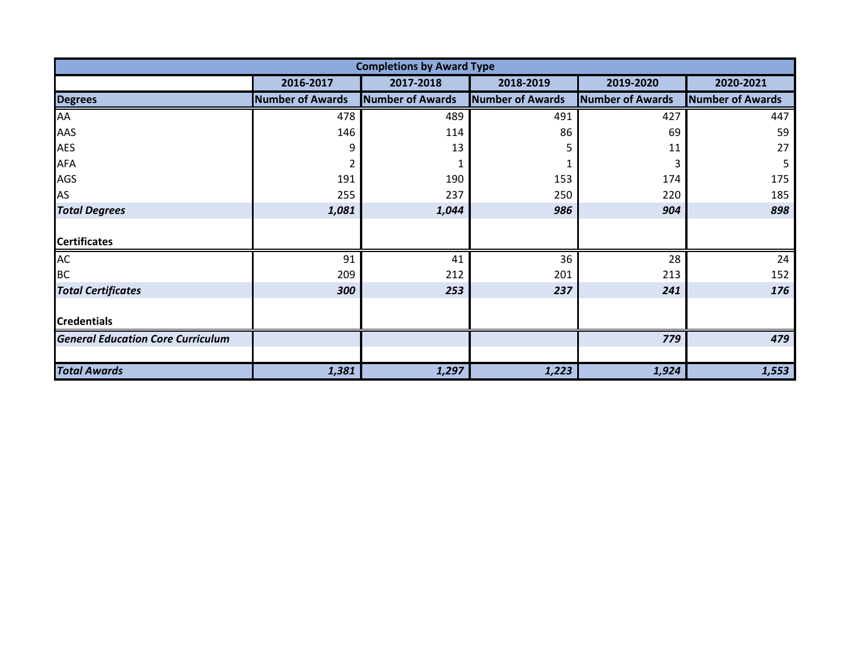|                                          |                         | <b>Completions by Award Type</b> |                         |                         |                         |
|------------------------------------------|-------------------------|----------------------------------|-------------------------|-------------------------|-------------------------|
|                                          | 2016-2017               | 2017-2018                        | 2018-2019               | 2019-2020               | 2020-2021               |
| <b>Degrees</b>                           | <b>Number of Awards</b> | <b>Number of Awards</b>          | <b>Number of Awards</b> | <b>Number of Awards</b> | <b>Number of Awards</b> |
| AA                                       | 478                     | 489                              | 491                     | 427                     | 447                     |
| AAS                                      | 146                     | 114                              | 86                      | 69                      | 59                      |
| AES                                      | 9                       | 13                               | 5                       | 11                      | 27                      |
| AFA                                      | 2                       |                                  |                         |                         | 5                       |
| AGS                                      | 191                     | 190                              | 153                     | 174                     | 175                     |
| AS                                       | 255                     | 237                              | 250                     | 220                     | 185                     |
| <b>Total Degrees</b>                     | 1,081                   | 1,044                            | 986                     | 904                     | 898                     |
|                                          |                         |                                  |                         |                         |                         |
| <b>Certificates</b>                      |                         |                                  |                         |                         |                         |
| AC                                       | 91                      | 41                               | 36                      | 28                      | 24                      |
| ВC                                       | 209                     | 212                              | 201                     | 213                     | 152                     |
| <b>Total Certificates</b>                | 300                     | 253                              | 237                     | 241                     | 176                     |
|                                          |                         |                                  |                         |                         |                         |
| <b>Credentials</b>                       |                         |                                  |                         |                         |                         |
| <b>General Education Core Curriculum</b> |                         |                                  |                         | 779                     | 479                     |
|                                          |                         |                                  |                         |                         |                         |
| <b>Total Awards</b>                      | 1,381                   | 1,297                            | 1,223                   | 1,924                   | 1,553                   |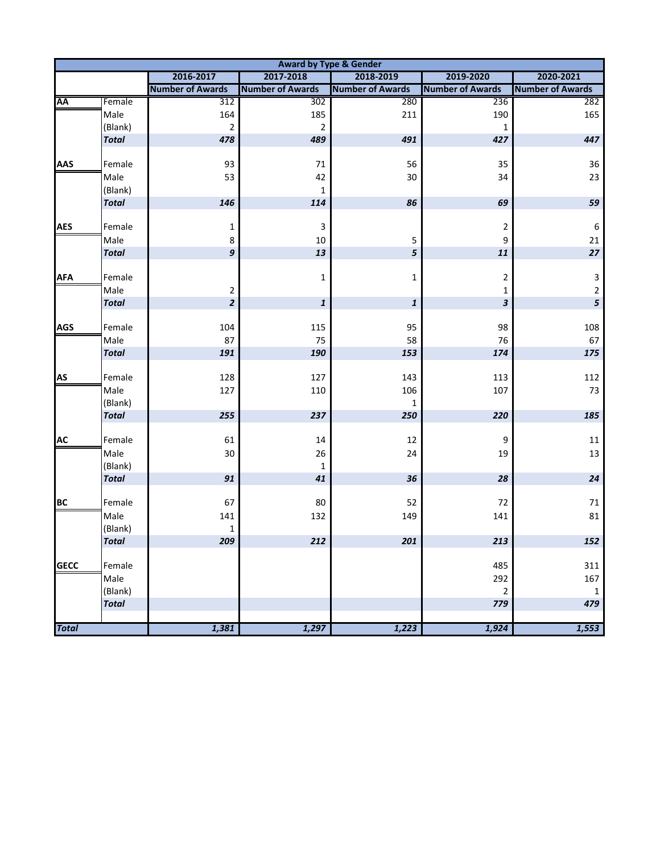|              |                         |                         | <b>Award by Type &amp; Gender</b> |                         |                         |                         |
|--------------|-------------------------|-------------------------|-----------------------------------|-------------------------|-------------------------|-------------------------|
|              |                         | 2016-2017               | 2017-2018                         | 2018-2019               | 2019-2020               | 2020-2021               |
|              |                         | <b>Number of Awards</b> | <b>Number of Awards</b>           | <b>Number of Awards</b> | <b>Number of Awards</b> | <b>Number of Awards</b> |
| AA           | Female                  | 312                     | 302                               | 280                     | 236                     | 282                     |
|              | Male                    | 164                     | 185                               | 211                     | 190                     | 165                     |
|              | (Blank)                 | $\overline{2}$          | $\overline{2}$                    |                         | $\mathbf{1}$            |                         |
|              | <b>Total</b>            | 478                     | 489                               | 491                     | 427                     | 447                     |
| <b>AAS</b>   | Female                  | 93                      | 71                                | 56                      | 35                      | $36\,$                  |
|              | Male                    | 53                      | 42                                | 30                      | 34                      | 23                      |
|              | (Blank)                 |                         | $1\,$                             |                         |                         |                         |
|              | <b>Total</b>            | 146                     | 114                               | 86                      | 69                      | 59                      |
|              |                         |                         |                                   |                         |                         |                         |
| <b>AES</b>   | Female                  | 1                       | 3                                 |                         | 2                       | $\boldsymbol{6}$        |
|              | Male                    | 8                       | 10                                | 5                       | 9                       | 21                      |
|              | <b>Total</b>            | 9                       | 13                                | 5                       | $\bf{11}$               | $27\,$                  |
| <b>AFA</b>   | Female                  |                         | $\mathbf{1}$                      | 1                       | $\overline{c}$          | $\mathbf{3}$            |
|              | Male                    | 2                       |                                   |                         | 1                       | $\mathbf{2}$            |
|              | <b>Total</b>            | $\overline{\mathbf{c}}$ | $\pmb{\mathit{1}}$                | 1                       | 3                       | 5                       |
|              |                         |                         |                                   |                         |                         |                         |
| <b>AGS</b>   | Female                  | 104                     | 115                               | 95                      | 98                      | 108                     |
|              | Male                    | 87                      | 75                                | 58                      | 76                      | 67                      |
|              | <b>Total</b>            | 191                     | 190                               | 153                     | 174                     | 175                     |
|              |                         |                         |                                   |                         |                         |                         |
| <b>AS</b>    | Female                  | 128                     | 127                               | 143                     | 113                     | 112                     |
|              | Male                    | 127                     | 110                               | 106                     | 107                     | 73                      |
|              | (Blank)<br><b>Total</b> | 255                     | 237                               | 1<br>250                | 220                     | 185                     |
|              |                         |                         |                                   |                         |                         |                         |
| <b>AC</b>    | Female                  | 61                      | 14                                | 12                      | 9                       | 11                      |
|              | Male                    | 30                      | 26                                | 24                      | 19                      | 13                      |
|              | (Blank)                 |                         | 1                                 |                         |                         |                         |
|              | <b>Total</b>            | $\bf{91}$               | 41                                | 36                      | 28                      | ${\bf 24}$              |
|              |                         |                         |                                   |                         |                         |                         |
| <b>BC</b>    | Female                  | 67                      | 80                                | 52                      | 72                      | 71                      |
|              | Male                    | 141                     | 132                               | 149                     | 141                     | 81                      |
|              | (Blank)                 | $\mathbf 1$             |                                   |                         |                         |                         |
|              | <b>Total</b>            | 209                     | 212                               | 201                     | 213                     | 152                     |
| <b>GECC</b>  | Female                  |                         |                                   |                         | 485                     | 311                     |
|              | Male                    |                         |                                   |                         | 292                     | 167                     |
|              | (Blank)                 |                         |                                   |                         | $\overline{2}$          | $\mathbf 1$             |
|              | <b>Total</b>            |                         |                                   |                         | 779                     | 479                     |
|              |                         |                         |                                   |                         |                         |                         |
| <b>Total</b> |                         | 1,381                   | 1,297                             | 1,223                   | 1,924                   | 1,553                   |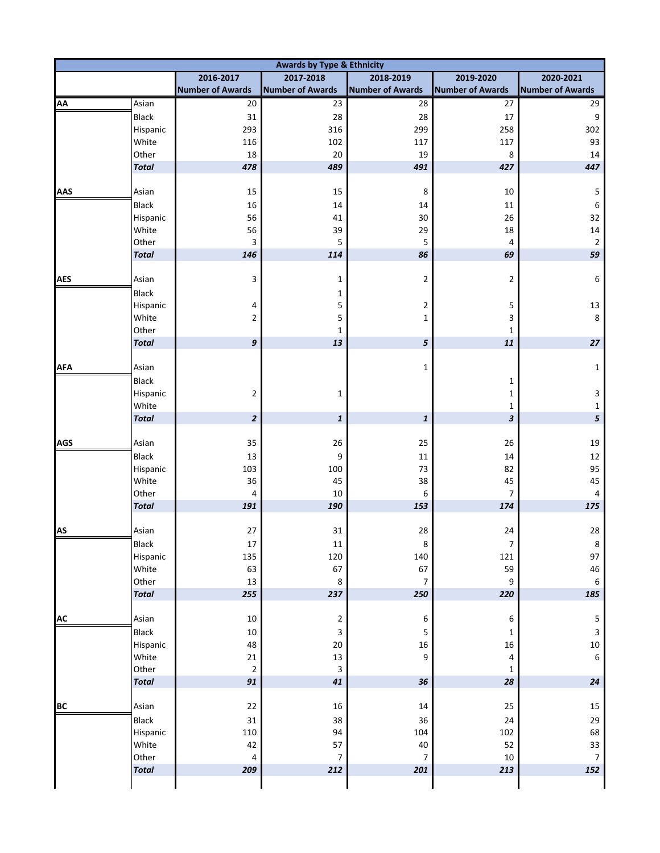| <b>Awards by Type &amp; Ethnicity</b> |              |                         |                         |                         |                           |                         |  |  |  |  |  |
|---------------------------------------|--------------|-------------------------|-------------------------|-------------------------|---------------------------|-------------------------|--|--|--|--|--|
|                                       |              | 2016-2017               | 2017-2018               | 2018-2019               | 2019-2020                 | 2020-2021               |  |  |  |  |  |
|                                       |              | <b>Number of Awards</b> | <b>Number of Awards</b> | <b>Number of Awards</b> | <b>Number of Awards</b>   | <b>Number of Awards</b> |  |  |  |  |  |
| AA                                    | Asian        | 20                      | 23                      | 28                      | 27                        | 29                      |  |  |  |  |  |
|                                       | Black        | 31                      | 28                      | 28                      | 17                        | $\boldsymbol{9}$        |  |  |  |  |  |
|                                       | Hispanic     | 293                     | 316                     | 299                     | 258                       | 302                     |  |  |  |  |  |
|                                       | White        | 116                     | 102                     | 117                     | 117                       | 93                      |  |  |  |  |  |
|                                       | Other        | 18                      | 20                      | 19                      | 8                         | 14                      |  |  |  |  |  |
|                                       | <b>Total</b> | 478                     | 489                     | 491                     | 427                       | 447                     |  |  |  |  |  |
| AAS                                   | Asian        | 15                      | 15                      | 8                       | 10                        | $\mathsf S$             |  |  |  |  |  |
|                                       | Black        | 16                      | 14                      | 14                      | 11                        | $\sqrt{6}$              |  |  |  |  |  |
|                                       | Hispanic     | 56                      | 41                      | 30                      | 26                        | 32                      |  |  |  |  |  |
|                                       | White        | 56                      | 39                      | 29                      | 18                        | 14                      |  |  |  |  |  |
|                                       | Other        | 3                       | 5                       | 5                       | 4                         | $\sqrt{2}$              |  |  |  |  |  |
|                                       | <b>Total</b> | 146                     | 114                     | 86                      | 69                        | 59                      |  |  |  |  |  |
| <b>AES</b>                            | Asian        | 3                       | 1                       | $\overline{2}$          | $\overline{2}$            | $\boldsymbol{6}$        |  |  |  |  |  |
|                                       | Black        |                         | 1                       |                         |                           |                         |  |  |  |  |  |
|                                       | Hispanic     | 4                       | 5                       | 2                       | 5                         | 13                      |  |  |  |  |  |
|                                       | White        | 2                       | 5                       | 1                       | 3                         | $\,8\,$                 |  |  |  |  |  |
|                                       | Other        |                         | 1                       |                         | $\mathbf 1$               |                         |  |  |  |  |  |
|                                       | <b>Total</b> | 9                       | 13                      | 5                       | 11                        | $27\,$                  |  |  |  |  |  |
|                                       |              |                         |                         |                         |                           |                         |  |  |  |  |  |
| <b>AFA</b>                            | Asian        |                         |                         | $\mathbf{1}$            |                           | $\mathbf 1$             |  |  |  |  |  |
|                                       | <b>Black</b> |                         |                         |                         | 1                         |                         |  |  |  |  |  |
|                                       | Hispanic     | $\overline{2}$          | 1                       |                         | $\mathbf{1}$              | 3                       |  |  |  |  |  |
|                                       | White        |                         |                         |                         | $\mathbf{1}$              | $\mathbf 1$             |  |  |  |  |  |
|                                       | <b>Total</b> | $\overline{\mathbf{c}}$ | $\pmb{1}$               | $\mathbf{1}$            | $\boldsymbol{\mathsf{3}}$ | 5                       |  |  |  |  |  |
| <b>AGS</b>                            | Asian        | 35                      | 26                      | 25                      | 26                        | 19                      |  |  |  |  |  |
|                                       | Black        | 13                      | 9                       | 11                      | 14                        | 12                      |  |  |  |  |  |
|                                       | Hispanic     | 103                     | 100                     | 73                      | 82                        | 95                      |  |  |  |  |  |
|                                       | White        | 36                      | 45                      | 38                      | 45                        | 45                      |  |  |  |  |  |
|                                       | Other        | 4                       | 10                      | 6                       | $\overline{7}$            | $\pmb{4}$               |  |  |  |  |  |
|                                       | <b>Total</b> | 191                     | 190                     | 153                     | 174                       | 175                     |  |  |  |  |  |
| <b>AS</b>                             | Asian        | 27                      | 31                      | 28                      | 24                        | 28                      |  |  |  |  |  |
|                                       | Black        | $17\,$                  | 11                      | 8                       | $\overline{7}$            | $\bf 8$                 |  |  |  |  |  |
|                                       | Hispanic     | 135                     | 120                     | 140                     | 121                       | 97                      |  |  |  |  |  |
|                                       | White        | 63                      | 67                      | 67                      | 59                        | 46                      |  |  |  |  |  |
|                                       | Other        | 13                      | $\bf 8$                 | $\overline{7}$          | 9                         | $\,$ 6 $\,$             |  |  |  |  |  |
|                                       | <b>Total</b> | 255                     | 237                     | 250                     | 220                       | 185                     |  |  |  |  |  |
| <b>AC</b>                             | Asian        | $10\,$                  | $\mathbf{2}$            | 6                       | 6                         | $\sf 5$                 |  |  |  |  |  |
|                                       | Black        | $10\,$                  | 3                       | 5                       | $\mathbf{1}$              | $\mathsf 3$             |  |  |  |  |  |
|                                       | Hispanic     | 48                      | $20\,$                  | 16                      | 16                        | $10\,$                  |  |  |  |  |  |
|                                       | White        | $21\,$                  | $13\,$                  | 9                       | 4                         | $\boldsymbol{6}$        |  |  |  |  |  |
|                                       | Other        | $\mathbf 2$             | 3                       |                         | 1                         |                         |  |  |  |  |  |
|                                       | <b>Total</b> | 91                      | 41                      | 36                      | 28                        | 24                      |  |  |  |  |  |
| <b>BC</b>                             | Asian        | 22                      | 16                      | $14\,$                  | 25                        | 15                      |  |  |  |  |  |
|                                       | Black        | 31                      | 38                      | 36                      | 24                        | 29                      |  |  |  |  |  |
|                                       | Hispanic     | 110                     | 94                      | 104                     | 102                       | 68                      |  |  |  |  |  |
|                                       | White        | 42                      | 57                      | 40                      | 52                        | 33                      |  |  |  |  |  |
|                                       | Other        | 4                       | 7                       | 7                       | 10                        | $\overline{7}$          |  |  |  |  |  |
|                                       | <b>Total</b> | 209                     | 212                     | 201                     | 213                       | 152                     |  |  |  |  |  |
|                                       |              |                         |                         |                         |                           |                         |  |  |  |  |  |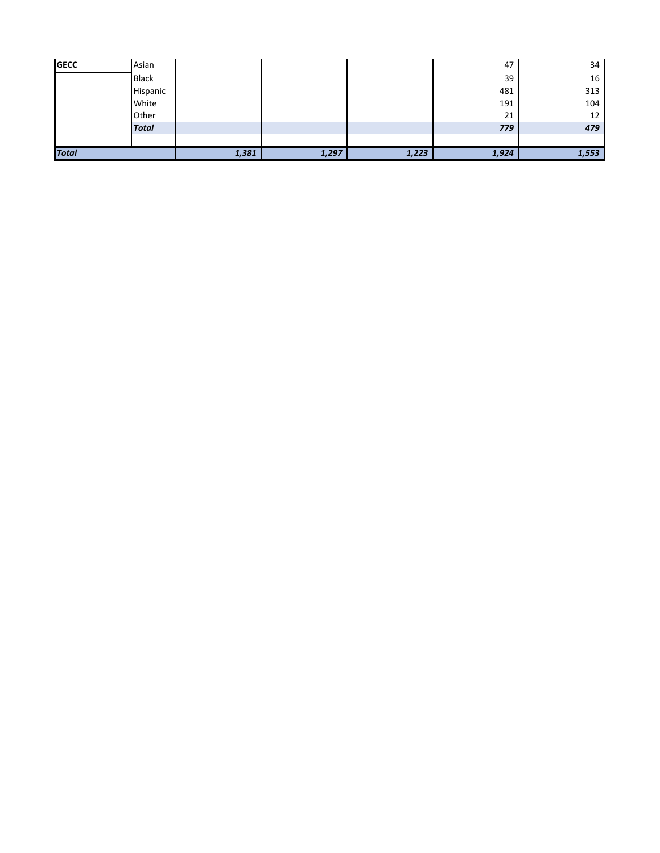| <b>Total</b> |              | 1,381 | 1,297 | 1,223 | 1,924 | 1,553 |
|--------------|--------------|-------|-------|-------|-------|-------|
|              |              |       |       |       |       |       |
|              | <b>Total</b> |       |       |       | 779   | 479   |
|              | Other        |       |       |       | 21    | 12    |
|              | White        |       |       |       | 191   | 104   |
|              | Hispanic     |       |       |       | 481   | 313   |
|              | <b>Black</b> |       |       |       | 39    | 16    |
| <b>GECC</b>  | Asian        |       |       |       | 47    | 34    |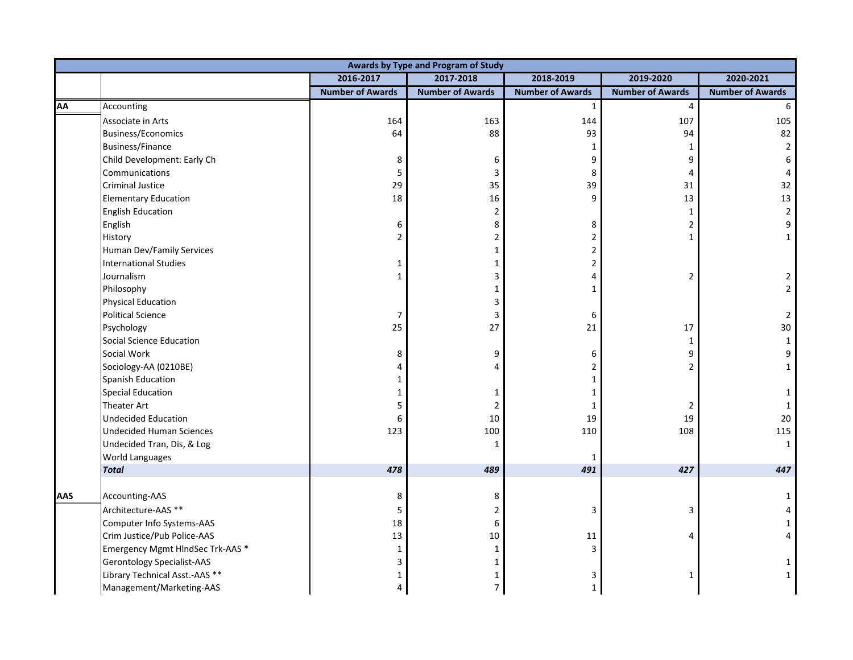|            |                                   |                         | Awards by Type and Program of Study |                         |                         |                         |
|------------|-----------------------------------|-------------------------|-------------------------------------|-------------------------|-------------------------|-------------------------|
|            |                                   | 2016-2017               | 2017-2018                           | 2018-2019               | 2019-2020               | 2020-2021               |
|            |                                   | <b>Number of Awards</b> | <b>Number of Awards</b>             | <b>Number of Awards</b> | <b>Number of Awards</b> | <b>Number of Awards</b> |
| <b>AA</b>  | Accounting                        |                         |                                     | $\mathbf{1}$            | $\overline{4}$          | 6                       |
|            | Associate in Arts                 | 164                     | 163                                 | 144                     | 107                     | 105                     |
|            | <b>Business/Economics</b>         | 64                      | 88                                  | 93                      | 94                      | 82                      |
|            | <b>Business/Finance</b>           |                         |                                     | $\mathbf{1}$            | $\mathbf{1}$            | $\overline{2}$          |
|            | Child Development: Early Ch       | 8                       | 6                                   | 9                       | 9                       | 6                       |
|            | Communications                    | 5                       | 3                                   | 8                       | 4                       |                         |
|            | Criminal Justice                  | 29                      | 35                                  | 39                      | 31                      | 32                      |
|            | <b>Elementary Education</b>       | 18                      | 16                                  | 9                       | 13                      | 13                      |
|            | <b>English Education</b>          |                         | $\overline{2}$                      |                         | $\mathbf{1}$            | $\mathbf 2$             |
|            | English                           | 6                       | 8                                   | 8                       | $\overline{2}$          | 9                       |
|            | History                           | 2                       | 2                                   | $\overline{2}$          | $\mathbf{1}$            | $\mathbf{1}$            |
|            | Human Dev/Family Services         |                         | 1                                   | 2                       |                         |                         |
|            | <b>International Studies</b>      | 1                       | 1                                   | 2                       |                         |                         |
|            | Journalism                        |                         | 3                                   | 4                       | 2                       | 2                       |
|            | Philosophy                        |                         | 1                                   | 1                       |                         | $\overline{2}$          |
|            | <b>Physical Education</b>         |                         | 3                                   |                         |                         |                         |
|            | <b>Political Science</b>          | 7                       | 3                                   | 6                       |                         | $\overline{2}$          |
|            | Psychology                        | 25                      | 27                                  | 21                      | $17\,$                  | 30                      |
|            | Social Science Education          |                         |                                     |                         | $\mathbf{1}$            | $\mathbf 1$             |
|            | Social Work                       | 8                       | 9                                   | 6                       | 9                       | 9                       |
|            | Sociology-AA (0210BE)             |                         |                                     | $\overline{2}$          | $\overline{2}$          | $\mathbf{1}$            |
|            | Spanish Education                 | 1                       |                                     | 1                       |                         |                         |
|            | <b>Special Education</b>          | 1                       | 1                                   | 1                       |                         | $\mathbf{1}$            |
|            | <b>Theater Art</b>                | 5                       | 2                                   | 1                       | 2                       | $\mathbf{1}$            |
|            | <b>Undecided Education</b>        | 6                       | 10                                  | 19                      | 19                      | 20                      |
|            | <b>Undecided Human Sciences</b>   | 123                     | 100                                 | 110                     | 108                     | 115                     |
|            | Undecided Tran, Dis, & Log        |                         | 1                                   |                         |                         | $\mathbf{1}$            |
|            | <b>World Languages</b>            |                         |                                     | 1                       |                         |                         |
|            | <b>Total</b>                      | 478                     | 489                                 | 491                     | 427                     | 447                     |
| <b>AAS</b> | Accounting-AAS                    | 8                       | 8                                   |                         |                         |                         |
|            | Architecture-AAS **               | 5                       | 2                                   | 3                       | 3                       |                         |
|            | Computer Info Systems-AAS         | 18                      | 6                                   |                         |                         |                         |
|            | Crim Justice/Pub Police-AAS       | 13                      | 10                                  | $11\,$                  | 4                       |                         |
|            | Emergency Mgmt HIndSec Trk-AAS *  | $\mathbf{1}$            | 1                                   | 3                       |                         |                         |
|            | <b>Gerontology Specialist-AAS</b> | 3                       |                                     |                         |                         |                         |
|            | Library Technical Asst.-AAS **    | 1                       | 1                                   | 3                       | 1                       | $\mathbf{1}$            |
|            | Management/Marketing-AAS          | 4                       | $\overline{7}$                      | $\mathbf{1}$            |                         |                         |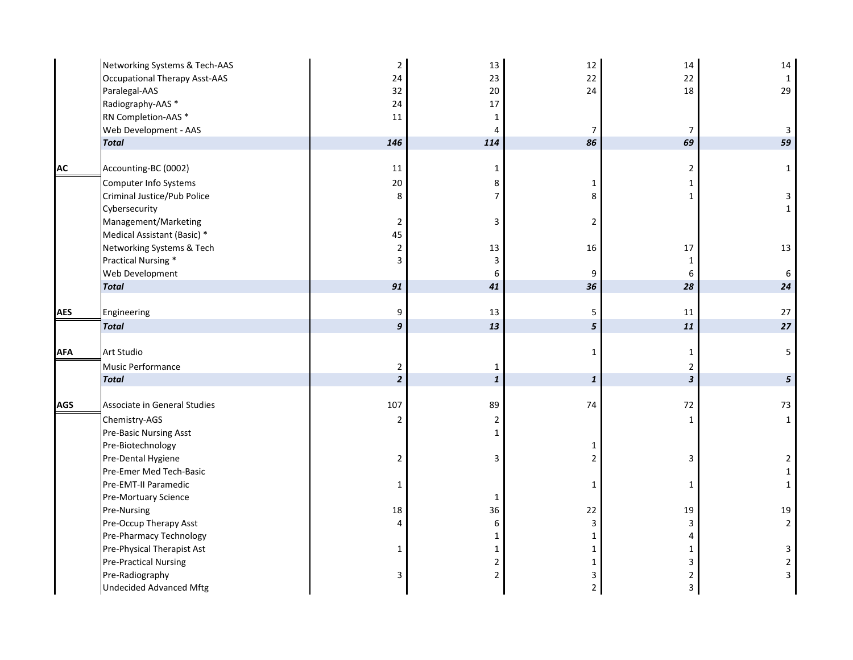|            | Networking Systems & Tech-AAS        | $\mathbf 2$    | 13             | 12             | 14                        | 14             |
|------------|--------------------------------------|----------------|----------------|----------------|---------------------------|----------------|
|            | <b>Occupational Therapy Asst-AAS</b> | 24             | 23             | 22             | 22                        | $\mathbf{1}$   |
|            | Paralegal-AAS                        | 32             | 20             | 24             | 18                        | 29             |
|            | Radiography-AAS *                    | 24             | 17             |                |                           |                |
|            | RN Completion-AAS *                  | 11             | 1              |                |                           |                |
|            | Web Development - AAS                |                | 4              | $\overline{7}$ | $\overline{7}$            | $\mathbf{3}$   |
|            | <b>Total</b>                         | 146            | 114            | 86             | 69                        | 59             |
|            |                                      |                |                |                |                           |                |
| AC         | Accounting-BC (0002)                 | 11             | $\mathbf{1}$   |                | $\mathbf 2$               | $\mathbf 1$    |
|            | Computer Info Systems                | $20\,$         | 8              | $\mathbf 1$    | $\mathbf{1}$              |                |
|            | Criminal Justice/Pub Police          | 8              | $\overline{7}$ | 8              | $\mathbf 1$               | $\mathbf{3}$   |
|            | Cybersecurity                        |                |                |                |                           | $\mathbf{1}$   |
|            | Management/Marketing                 | $\overline{2}$ | 3              | $\overline{2}$ |                           |                |
|            | Medical Assistant (Basic) *          | 45             |                |                |                           |                |
|            | Networking Systems & Tech            | $\overline{2}$ | 13             | 16             | 17                        | 13             |
|            | Practical Nursing *                  | 3              | 3              |                | $\mathbf 1$               |                |
|            | Web Development                      |                | 6              | 9              | 6                         | 6              |
|            | <b>Total</b>                         | 91             | 41             | 36             | 28                        | 24             |
|            |                                      |                |                |                |                           |                |
| AES        | Engineering                          | 9              | 13             | 5              | 11                        | 27             |
|            | <b>Total</b>                         | 9              | 13             | 5              | 11                        | 27             |
|            |                                      |                |                |                |                           |                |
| <b>AFA</b> | <b>Art Studio</b>                    |                |                | $\mathbf{1}$   | $\mathbf{1}$              | 5 <sup>1</sup> |
|            | Music Performance                    | $\overline{2}$ | $\mathbf 1$    |                | $\overline{2}$            |                |
|            | <b>Total</b>                         | $\overline{2}$ | $\pmb{1}$      | $\pmb{1}$      | $\boldsymbol{\mathsf{3}}$ | 5 <sup>5</sup> |
| AGS        | Associate in General Studies         | 107            | 89             | 74             | 72                        | 73             |
|            | Chemistry-AGS                        | $\overline{2}$ | $\overline{2}$ |                | $\mathbf 1$               | $\mathbf{1}$   |
|            | Pre-Basic Nursing Asst               |                | 1              |                |                           |                |
|            | Pre-Biotechnology                    |                |                | 1              |                           |                |
|            | Pre-Dental Hygiene                   | $\overline{2}$ | 3              | $\overline{2}$ | 3                         | $\overline{2}$ |
|            | Pre-Emer Med Tech-Basic              |                |                |                |                           | $\mathbf 1$    |
|            | Pre-EMT-II Paramedic                 | $\mathbf{1}$   |                | $\mathbf{1}$   | $\mathbf{1}$              | $\mathbf{1}$   |
|            | Pre-Mortuary Science                 |                | 1              |                |                           |                |
|            | Pre-Nursing                          | 18             | 36             | 22             | 19                        | $19\,$         |
|            | Pre-Occup Therapy Asst               | 4              | 6              | 3              | $\mathsf{3}$              | $\overline{2}$ |
|            | Pre-Pharmacy Technology              |                | 1              | $\mathbf{1}$   | $\overline{4}$            |                |
|            | Pre-Physical Therapist Ast           | $\mathbf{1}$   | $\mathbf{1}$   | $\mathbf{1}$   | $\mathbf{1}$              | 3              |
|            | <b>Pre-Practical Nursing</b>         |                | 2              | $\mathbf 1$    | $\mathsf 3$               | $\overline{2}$ |
|            | Pre-Radiography                      | 3              | $\mathbf 2$    | 3              | $\mathbf 2$               | $\mathbf{3}$   |
|            |                                      |                |                |                |                           |                |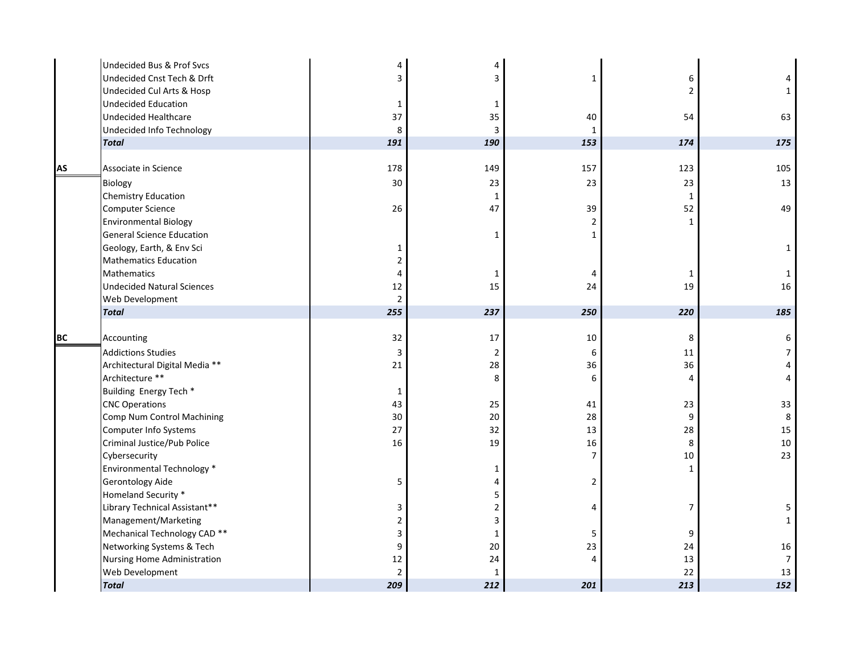| 6            | 4              |
|--------------|----------------|
|              | $\mathbf{1}$   |
|              |                |
| 54           | 63             |
|              |                |
| 174          | 175            |
|              |                |
| 123          | 105            |
| 23           | 13             |
| $\mathbf{1}$ |                |
| 52           | 49             |
| $\mathbf{1}$ |                |
|              |                |
|              | $\mathbf{1}$   |
|              |                |
| 1            | $\mathbf 1$    |
| 19           | 16             |
|              |                |
| 220          | 185            |
|              |                |
| 8            | 6              |
| 11           | $\overline{7}$ |
| 36           | $\pmb{4}$      |
| 4            | 4              |
|              |                |
| 23           | 33             |
| 9            | 8              |
| 28           | 15             |
| 8            | 10             |
| 10           | 23             |
| $\mathbf{1}$ |                |
|              |                |
|              |                |
| 7            | 5              |
|              | $\mathbf{1}$   |
| 9            |                |
| 24           | 16             |
| 13           | $\overline{7}$ |
| 22           | 13             |
| 213          | 152            |
|              |                |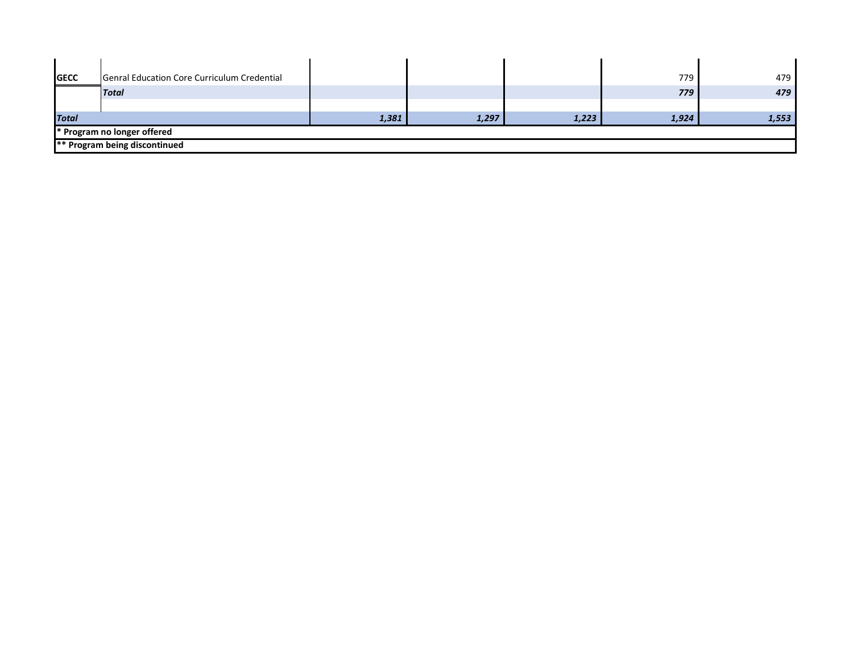| <b>GECC</b>  | Genral Education Core Curriculum Credential |       |       |       | 779   | 479   |
|--------------|---------------------------------------------|-------|-------|-------|-------|-------|
|              | <b>Total</b>                                |       |       |       | 779   | 479   |
|              |                                             |       |       |       |       |       |
| <b>Total</b> |                                             | 1,381 | 1,297 | 1,223 | 1,924 | 1,553 |
|              | * Program no longer offered                 |       |       |       |       |       |
|              | <b>** Program being discontinued</b>        |       |       |       |       |       |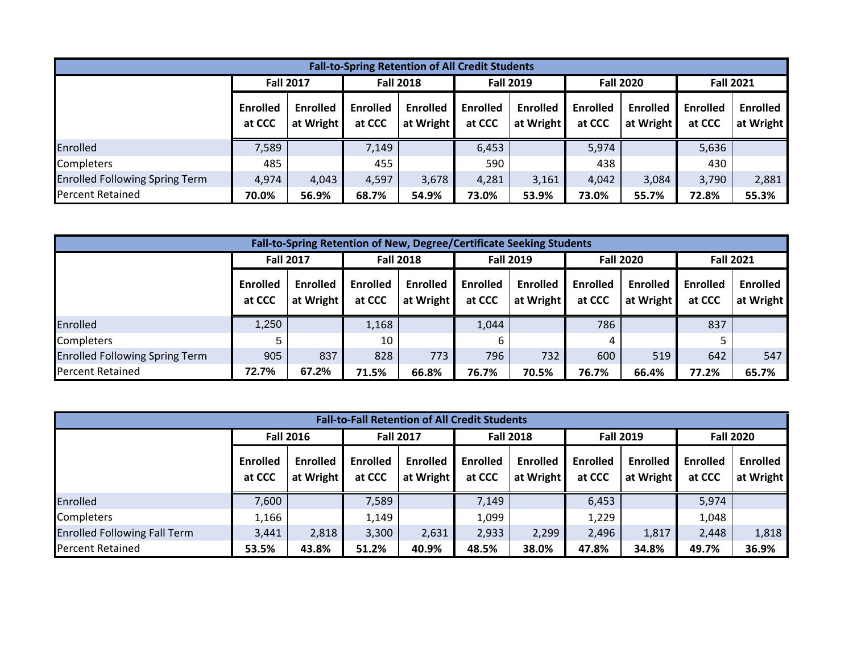| <b>Fall-to-Spring Retention of All Credit Students</b> |                           |                              |                                      |                              |                           |                              |                           |                              |                           |                              |  |  |
|--------------------------------------------------------|---------------------------|------------------------------|--------------------------------------|------------------------------|---------------------------|------------------------------|---------------------------|------------------------------|---------------------------|------------------------------|--|--|
|                                                        |                           | <b>Fall 2017</b>             | <b>Fall 2018</b><br><b>Fall 2019</b> |                              |                           |                              | <b>Fall 2020</b>          | <b>Fall 2021</b>             |                           |                              |  |  |
|                                                        | <b>Enrolled</b><br>at CCC | <b>Enrolled</b><br>at Wright | <b>Enrolled</b><br>at CCC            | <b>Enrolled</b><br>at Wright | <b>Enrolled</b><br>at CCC | <b>Enrolled</b><br>at Wright | <b>Enrolled</b><br>at CCC | <b>Enrolled</b><br>at Wright | <b>Enrolled</b><br>at CCC | <b>Enrolled</b><br>at Wright |  |  |
| Enrolled                                               | 7,589                     |                              | 7,149                                |                              | 6,453                     |                              | 5,974                     |                              | 5,636                     |                              |  |  |
| Completers                                             | 485                       |                              | 455                                  |                              | 590                       |                              | 438                       |                              | 430                       |                              |  |  |
| <b>Enrolled Following Spring Term</b>                  | 4,974                     | 4,043                        | 4,597                                | 3,678                        | 4,281                     | 3,161                        | 4,042                     | 3,084                        | 3,790                     | 2,881                        |  |  |
| <b>Percent Retained</b>                                | 70.0%                     | 56.9%                        | 68.7%                                | 54.9%                        | 73.0%                     | 53.9%                        | 73.0%                     | 55.7%                        | 72.8%                     | 55.3%                        |  |  |

|                                       | Fall-to-Spring Retention of New, Degree/Certificate Seeking Students |                              |                           |                              |                           |                              |                           |                       |                           |                              |  |  |
|---------------------------------------|----------------------------------------------------------------------|------------------------------|---------------------------|------------------------------|---------------------------|------------------------------|---------------------------|-----------------------|---------------------------|------------------------------|--|--|
|                                       |                                                                      | <b>Fall 2017</b>             |                           | <b>Fall 2018</b>             |                           | <b>Fall 2019</b>             | <b>Fall 2020</b>          |                       | <b>Fall 2021</b>          |                              |  |  |
|                                       | Enrolled<br>at CCC                                                   | <b>Enrolled</b><br>at Wright | <b>Enrolled</b><br>at CCC | <b>Enrolled</b><br>at Wright | <b>Enrolled</b><br>at CCC | <b>Enrolled</b><br>at Wright | <b>Enrolled</b><br>at CCC | Enrolled<br>at Wright | <b>Enrolled</b><br>at CCC | <b>Enrolled</b><br>at Wright |  |  |
| Enrolled                              | 1,250                                                                |                              | 1,168                     |                              | 1,044                     |                              | 786                       |                       | 837                       |                              |  |  |
| <b>Completers</b>                     |                                                                      |                              | 10                        |                              |                           |                              |                           |                       |                           |                              |  |  |
| <b>Enrolled Following Spring Term</b> | 905                                                                  | 837                          | 828                       | 773                          | 796                       | 732                          | 600                       | 519                   | 642                       | 547                          |  |  |
| <b>Percent Retained</b>               | 72.7%                                                                | 67.2%                        | 71.5%                     | 66.8%                        | 76.7%                     | 70.5%                        | 76.7%                     | 66.4%                 | 77.2%                     | 65.7%                        |  |  |

| <b>Fall-to-Fall Retention of All Credit Students</b> |                           |                              |                           |                              |                           |                              |                           |                              |                           |                              |  |  |
|------------------------------------------------------|---------------------------|------------------------------|---------------------------|------------------------------|---------------------------|------------------------------|---------------------------|------------------------------|---------------------------|------------------------------|--|--|
|                                                      |                           | <b>Fall 2016</b>             |                           | <b>Fall 2017</b>             |                           | <b>Fall 2018</b>             |                           | <b>Fall 2019</b>             | <b>Fall 2020</b>          |                              |  |  |
|                                                      | <b>Enrolled</b><br>at CCC | <b>Enrolled</b><br>at Wright | <b>Enrolled</b><br>at CCC | <b>Enrolled</b><br>at Wright | <b>Enrolled</b><br>at CCC | <b>Enrolled</b><br>at Wright | <b>Enrolled</b><br>at CCC | <b>Enrolled</b><br>at Wright | <b>Enrolled</b><br>at CCC | <b>Enrolled</b><br>at Wright |  |  |
| Enrolled                                             | 7,600                     |                              | 7,589                     |                              | 7,149                     |                              | 6,453                     |                              | 5,974                     |                              |  |  |
| Completers                                           | 1,166                     |                              | 1,149                     |                              | 1,099                     |                              | 1,229                     |                              | 1,048                     |                              |  |  |
| <b>Enrolled Following Fall Term</b>                  | 3,441                     | 2,818                        | 3,300                     | 2,631                        | 2,933                     | 2,299                        | 2,496                     | 1,817                        | 2,448                     | 1,818                        |  |  |
| <b>Percent Retained</b>                              | 53.5%                     | 43.8%                        | 51.2%                     | 40.9%                        | 48.5%                     | 38.0%                        | 47.8%                     | 34.8%                        | 49.7%                     | 36.9%                        |  |  |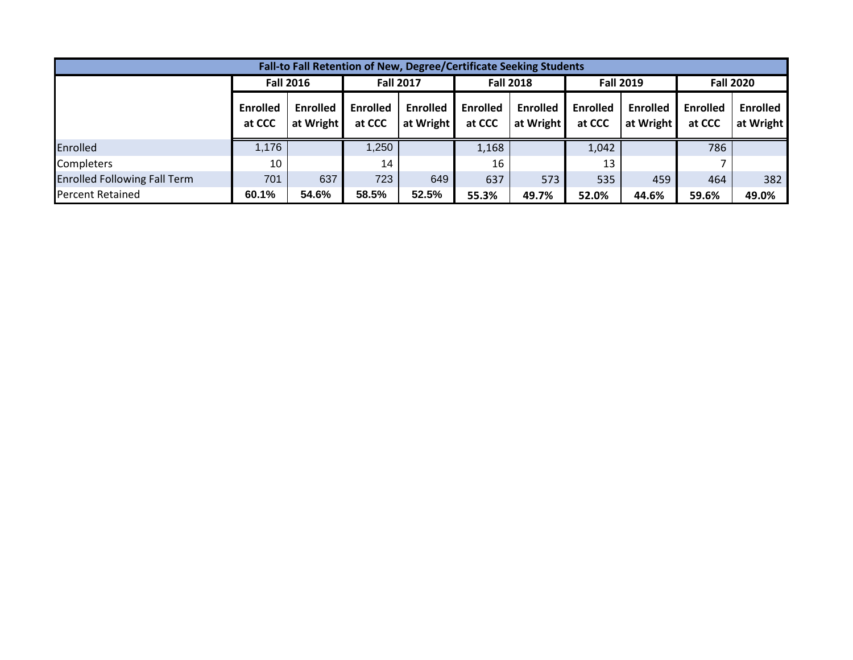| Fall-to Fall Retention of New, Degree/Certificate Seeking Students |                    |                              |                           |                              |                           |                              |                           |                              |                           |                              |  |
|--------------------------------------------------------------------|--------------------|------------------------------|---------------------------|------------------------------|---------------------------|------------------------------|---------------------------|------------------------------|---------------------------|------------------------------|--|
|                                                                    |                    | <b>Fall 2016</b>             |                           | <b>Fall 2017</b>             |                           | <b>Fall 2018</b>             | <b>Fall 2019</b>          |                              | <b>Fall 2020</b>          |                              |  |
|                                                                    | Enrolled<br>at CCC | <b>Enrolled</b><br>at Wright | <b>Enrolled</b><br>at CCC | <b>Enrolled</b><br>at Wright | <b>Enrolled</b><br>at CCC | <b>Enrolled</b><br>at Wright | <b>Enrolled</b><br>at CCC | <b>Enrolled</b><br>at Wright | <b>Enrolled</b><br>at CCC | <b>Enrolled</b><br>at Wright |  |
| Enrolled                                                           | 1,176              |                              | 1,250                     |                              | 1,168                     |                              | 1,042                     |                              | 786                       |                              |  |
| <b>Completers</b>                                                  | 10                 |                              | 14                        |                              | 16                        |                              | 13                        |                              |                           |                              |  |
| <b>Enrolled Following Fall Term</b>                                | 701                | 637                          | 723                       | 649                          | 637                       | 573                          | 535                       | 459                          | 464                       | 382                          |  |
| <b>Percent Retained</b>                                            | 60.1%              | 54.6%                        | 58.5%                     | 52.5%                        | 55.3%                     | 49.7%                        | 52.0%                     | 44.6%                        | 59.6%                     | 49.0%                        |  |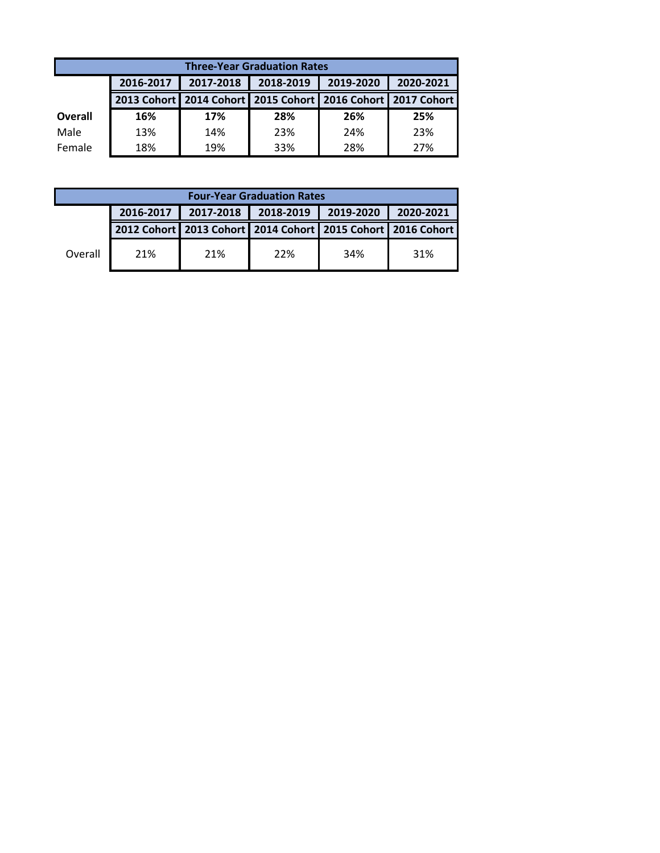|         | <b>Three-Year Graduation Rates</b> |           |                                                             |           |           |  |
|---------|------------------------------------|-----------|-------------------------------------------------------------|-----------|-----------|--|
|         | 2016-2017                          | 2017-2018 | 2018-2019                                                   | 2019-2020 | 2020-2021 |  |
|         |                                    |           | 2013 Cohort 2014 Cohort 2015 Cohort 2016 Cohort 2017 Cohort |           |           |  |
| Overall | 16%                                | 17%       | 28%                                                         | 26%       | 25%       |  |
| Male    | 13%                                | 14%       | 23%                                                         | 24%       | 23%       |  |
| Female  | 18%                                | 19%       | 33%                                                         | 28%       | 27%       |  |

|         | <b>Four-Year Graduation Rates</b> |           |                                                             |           |           |
|---------|-----------------------------------|-----------|-------------------------------------------------------------|-----------|-----------|
|         | 2016-2017                         | 2017-2018 | 2018-2019                                                   | 2019-2020 | 2020-2021 |
|         |                                   |           | 2012 Cohort 2013 Cohort 2014 Cohort 2015 Cohort 2016 Cohort |           |           |
| Overall | 21%                               | 21%       | 22%                                                         | 34%       | 31%       |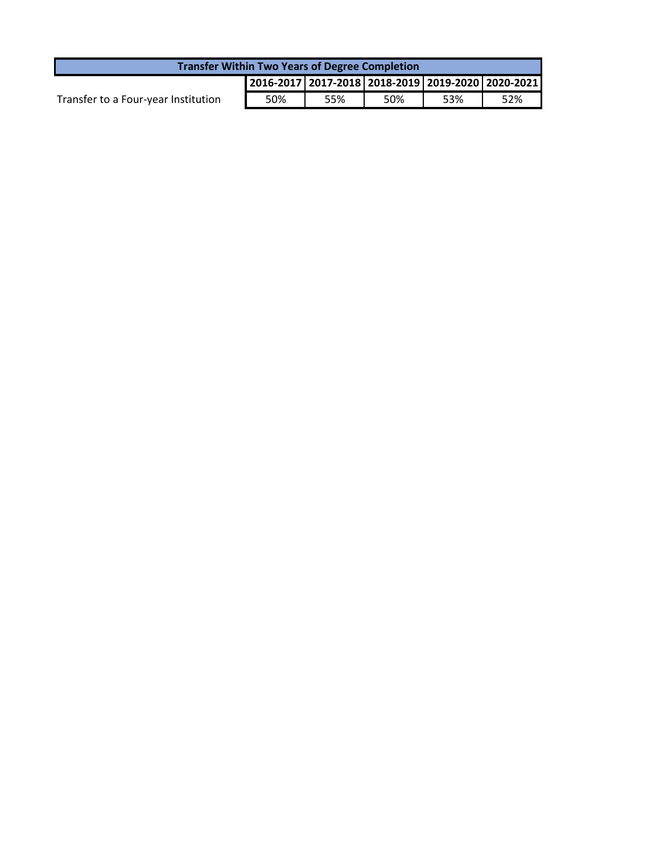| <b>Transfer Within Two Years of Degree Completion</b> |     |     |     |     |                                                           |
|-------------------------------------------------------|-----|-----|-----|-----|-----------------------------------------------------------|
|                                                       |     |     |     |     | 2016-2017   2017-2018   2018-2019   2019-2020   2020-2021 |
| Transfer to a Four-year Institution                   | 50% | 55% | 50% | 53% | 52%                                                       |